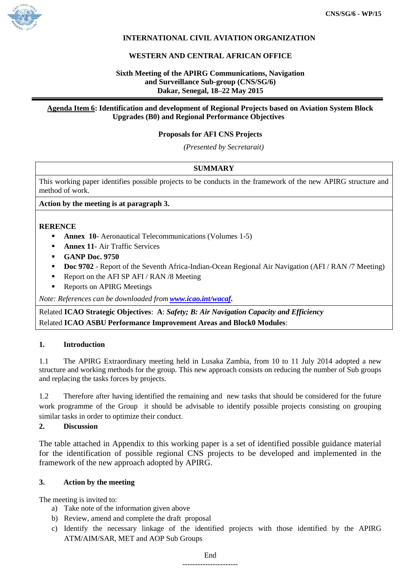

# **INTERNATIONAL CIVIL AVIATION ORGANIZATION**

## **WESTERN AND CENTRAL AFRICAN OFFICE**

## **Sixth Meeting of the APIRG Communications, Navigation and Surveillance Sub-group (CNS/SG/6) Dakar, Senegal, 18–22 May 2015**

#### **Agenda Item 6: Identification and development of Regional Projects based on Aviation System Block Upgrades (B0) and Regional Performance Objectives**

### **Proposals for AFI CNS Projects**

*(Presented by Secretarait)*

### **SUMMARY**

This working paper identifies possible projects to be conducts in the framework of the new APIRG structure and method of work.

### **Action by the meeting is at paragraph 3.**

### **RERENCE**

- **Annex 10** Aeronautical Telecommunications (Volumes 1-5)
- **Annex 11-** Air Traffic Services
- **GANP Doc. 9750**
- **Doc 9702** Report of the Seventh Africa-Indian-Ocean Regional Air Navigation (AFI / RAN /7 Meeting)
- Report on the AFI SP AFI / RAN /8 Meeting
- Reports on APIRG Meetings

*Note: References can be downloaded from [www.icao.int/wacaf.](http://www.icao.int/wacaf)*

Related **ICAO Strategic Objectives**: **A**: *Safety; B: Air Navigation Capacity and Efficiency* Related **ICAO ASBU Performance Improvement Areas and Block0 Modules**:

#### **1. Introduction**

1.1 The APIRG Extraordinary meeting held in Lusaka Zambia, from 10 to 11 July 2014 adopted a new structure and working methods for the group. This new approach consists on reducing the number of Sub groups and replacing the tasks forces by projects.

1.2 Therefore after having identified the remaining and new tasks that should be considered for the future work programme of the Group it should be advisable to identify possible projects consisting on grouping similar tasks in order to optimize their conduct.

# **2. Discussion**

The table attached in Appendix to this working paper is a set of identified possible guidance material for the identification of possible regional CNS projects to be developed and implemented in the framework of the new approach adopted by APIRG.

#### **3. Action by the meeting**

The meeting is invited to:

- a) Take note of the information given above
- b) Review, amend and complete the draft proposal
- c) Identify the necessary linkage of the identified projects with those identified by the APIRG ATM/AIM/SAR, MET and AOP Sub Groups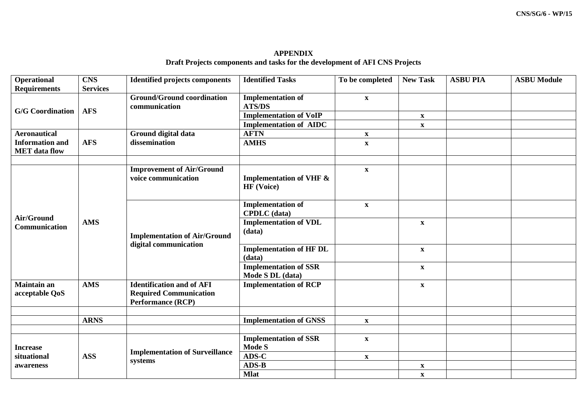**APPENDIX Draft Projects components and tasks for the development of AFI CNS Projects**

| Operational                                    | <b>CNS</b>      | <b>Identified projects components</b>                        | <b>Identified Tasks</b>            | To be completed           | <b>New Task</b>           | <b>ASBU PIA</b> | <b>ASBU Module</b> |
|------------------------------------------------|-----------------|--------------------------------------------------------------|------------------------------------|---------------------------|---------------------------|-----------------|--------------------|
| <b>Requirements</b>                            | <b>Services</b> |                                                              |                                    |                           |                           |                 |                    |
| <b>G/G</b> Coordination                        | <b>AFS</b>      | <b>Ground/Ground coordination</b>                            | <b>Implementation of</b>           | $\mathbf{X}$              |                           |                 |                    |
|                                                |                 | communication                                                | <b>ATS/DS</b>                      |                           |                           |                 |                    |
|                                                |                 |                                                              | <b>Implementation of VoIP</b>      |                           | $\mathbf X$               |                 |                    |
|                                                |                 |                                                              | <b>Implementation of AIDC</b>      |                           | $\mathbf X$               |                 |                    |
| <b>Aeronautical</b>                            |                 | Ground digital data<br>dissemination                         | <b>AFTN</b>                        | $\boldsymbol{\mathrm{X}}$ |                           |                 |                    |
| <b>Information and</b><br><b>MET</b> data flow | <b>AFS</b>      |                                                              | <b>AMHS</b>                        | $\boldsymbol{\mathrm{X}}$ |                           |                 |                    |
|                                                |                 |                                                              |                                    |                           |                           |                 |                    |
|                                                |                 |                                                              |                                    |                           |                           |                 |                    |
|                                                | <b>AMS</b>      | <b>Improvement of Air/Ground</b>                             |                                    | $\mathbf{X}$              |                           |                 |                    |
|                                                |                 | voice communication                                          | <b>Implementation of VHF &amp;</b> |                           |                           |                 |                    |
|                                                |                 |                                                              | <b>HF</b> (Voice)                  |                           |                           |                 |                    |
|                                                |                 |                                                              |                                    |                           |                           |                 |                    |
|                                                |                 | <b>Implementation of Air/Ground</b><br>digital communication | <b>Implementation of</b>           | $\boldsymbol{\mathrm{X}}$ |                           |                 |                    |
| Air/Ground                                     |                 |                                                              | <b>CPDLC</b> (data)                |                           |                           |                 |                    |
| Communication                                  |                 |                                                              | <b>Implementation of VDL</b>       |                           | $\boldsymbol{\mathrm{X}}$ |                 |                    |
|                                                |                 |                                                              | (data)                             |                           |                           |                 |                    |
|                                                |                 |                                                              | <b>Implementation of HF DL</b>     |                           | $\boldsymbol{\mathrm{X}}$ |                 |                    |
|                                                |                 |                                                              | (data)                             |                           |                           |                 |                    |
|                                                |                 |                                                              | <b>Implementation of SSR</b>       |                           | $\mathbf X$               |                 |                    |
|                                                |                 |                                                              | Mode S DL (data)                   |                           |                           |                 |                    |
| <b>Maintain an</b>                             | <b>AMS</b>      | <b>Identification and of AFI</b>                             | <b>Implementation of RCP</b>       |                           | $\boldsymbol{\mathrm{X}}$ |                 |                    |
| acceptable QoS                                 |                 | <b>Required Communication</b>                                |                                    |                           |                           |                 |                    |
|                                                |                 | <b>Performance (RCP)</b>                                     |                                    |                           |                           |                 |                    |
|                                                |                 |                                                              |                                    |                           |                           |                 |                    |
|                                                | <b>ARNS</b>     |                                                              | <b>Implementation of GNSS</b>      | $\boldsymbol{\mathrm{X}}$ |                           |                 |                    |
|                                                |                 |                                                              |                                    |                           |                           |                 |                    |
| <b>Increase</b><br>situational<br>awareness    | <b>ASS</b>      | <b>Implementation of Surveillance</b><br>systems             | <b>Implementation of SSR</b>       | $\mathbf{X}$              |                           |                 |                    |
|                                                |                 |                                                              | <b>Mode S</b>                      |                           |                           |                 |                    |
|                                                |                 |                                                              | $\bf{ADS-C}$                       | $\mathbf X$               |                           |                 |                    |
|                                                |                 |                                                              | $ADS-B$                            |                           | $\mathbf X$               |                 |                    |
|                                                |                 |                                                              | <b>Mlat</b>                        |                           | $\boldsymbol{\mathrm{X}}$ |                 |                    |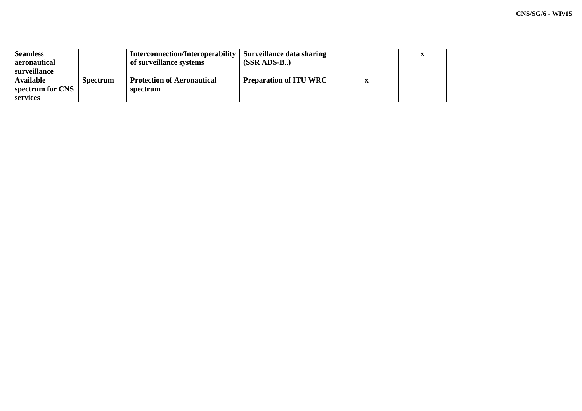| <b>Seamless</b><br>aeronautical<br>surveillance |                 | Interconnection/Interoperability  <br>of surveillance systems | Surveillance data sharing<br>$(SSR ADS-B.)$ | $\mathbf{r}$ |  |
|-------------------------------------------------|-----------------|---------------------------------------------------------------|---------------------------------------------|--------------|--|
| <b>Available</b><br>spectrum for CNS            | <b>Spectrum</b> | <b>Protection of Aeronautical</b><br>spectrum                 | <b>Preparation of ITU WRC</b>               |              |  |
| services                                        |                 |                                                               |                                             |              |  |